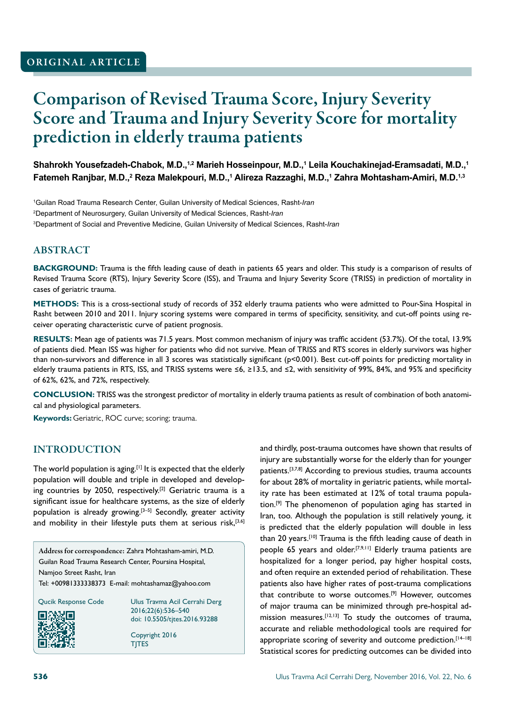# Comparison of Revised Trauma Score, Injury Severity Score and Trauma and Injury Severity Score for mortality prediction in elderly trauma patients

**Shahrokh Yousefzadeh-Chabok, M.D.,1,2 Marieh Hosseinpour, M.D.,1 Leila Kouchakinejad-Eramsadati, M.D.,1 Fatemeh Ranjbar, M.D.,2 Reza Malekpouri, M.D.,1 Alireza Razzaghi, M.D.,1 Zahra Mohtasham-Amiri, M.D.1,3**

1 Guilan Road Trauma Research Center, Guilan University of Medical Sciences, Rasht-*Iran* 2 Department of Neurosurgery, Guilan University of Medical Sciences, Rasht-*Iran* 3 Department of Social and Preventive Medicine, Guilan University of Medical Sciences, Rasht-*Iran*

# ABSTRACT

**BACKGROUND:** Trauma is the fifth leading cause of death in patients 65 years and older. This study is a comparison of results of Revised Trauma Score (RTS), Injury Severity Score (ISS), and Trauma and Injury Severity Score (TRISS) in prediction of mortality in cases of geriatric trauma.

**METHODS:** This is a cross-sectional study of records of 352 elderly trauma patients who were admitted to Pour-Sina Hospital in Rasht between 2010 and 2011. Injury scoring systems were compared in terms of specificity, sensitivity, and cut-off points using receiver operating characteristic curve of patient prognosis.

**RESULTS:** Mean age of patients was 71.5 years. Most common mechanism of injury was traffic accident (53.7%). Of the total, 13.9% of patients died. Mean ISS was higher for patients who did not survive. Mean of TRISS and RTS scores in elderly survivors was higher than non-survivors and difference in all 3 scores was statistically significant (p<0.001). Best cut-off points for predicting mortality in elderly trauma patients in RTS, ISS, and TRISS systems were ≤6, ≥13.5, and ≤2, with sensitivity of 99%, 84%, and 95% and specificity of 62%, 62%, and 72%, respectively.

**CONCLUSION:** TRISS was the strongest predictor of mortality in elderly trauma patients as result of combination of both anatomical and physiological parameters.

**Keywords:** Geriatric, ROC curve; scoring; trauma.

## INTRODUCTION

The world population is aging.<sup>[1]</sup> It is expected that the elderly population will double and triple in developed and developing countries by 2050, respectively.<sup>[2]</sup> Geriatric trauma is a significant issue for healthcare systems, as the size of elderly population is already growing.[3–5] Secondly, greater activity and mobility in their lifestyle puts them at serious risk,  $[3,6]$ 

Address for correspondence: Zahra Mohtasham-amiri, M.D. Guilan Road Trauma Research Center, Poursina Hospital, Namjoo Street Rasht, Iran Tel: +00981333338373 E-mail: mohtashamaz@yahoo.com



Qucik Response Code Ulus Travma Acil Cerrahi Derg 2016;22(6):536–540 doi: 10.5505/tjtes.2016.93288

> Copyright 2016 TJTES

and thirdly, post-trauma outcomes have shown that results of injury are substantially worse for the elderly than for younger patients.<sup>[3,7,8]</sup> According to previous studies, trauma accounts for about 28% of mortality in geriatric patients, while mortality rate has been estimated at 12% of total trauma population.[9] The phenomenon of population aging has started in Iran, too. Although the population is still relatively young, it is predicted that the elderly population will double in less than 20 years.<sup>[10]</sup> Trauma is the fifth leading cause of death in people 65 years and older.<sup>[7,9,11]</sup> Elderly trauma patients are hospitalized for a longer period, pay higher hospital costs, and often require an extended period of rehabilitation. These patients also have higher rates of post-trauma complications that contribute to worse outcomes.<sup>[9]</sup> However, outcomes of major trauma can be minimized through pre-hospital admission measures.[12,13] To study the outcomes of trauma, accurate and reliable methodological tools are required for appropriate scoring of severity and outcome prediction.<sup>[14-18]</sup> Statistical scores for predicting outcomes can be divided into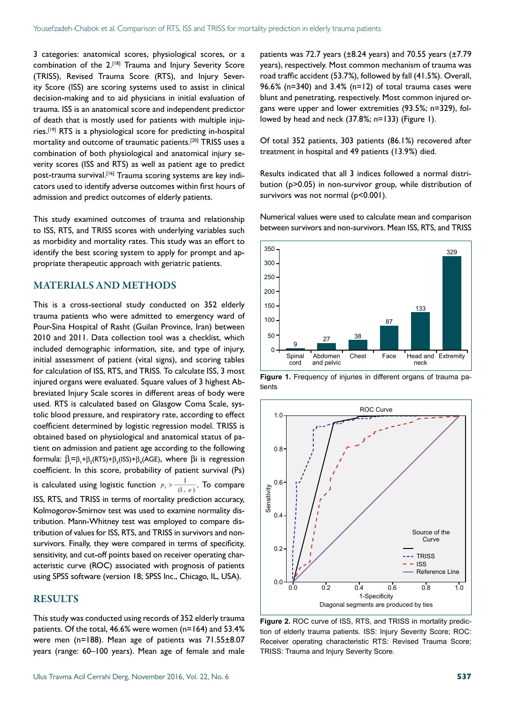3 categories: anatomical scores, physiological scores, or a combination of the 2.<sup>[18]</sup> Trauma and Injury Severity Score (TRISS), Revised Trauma Score (RTS), and Injury Severity Score (ISS) are scoring systems used to assist in clinical decision-making and to aid physicians in initial evaluation of trauma. ISS is an anatomical score and independent predictor of death that is mostly used for patients with multiple injuries.[19] RTS is a physiological score for predicting in-hospital mortality and outcome of traumatic patients.[20] TRISS uses a combination of both physiological and anatomical injury severity scores (ISS and RTS) as well as patient age to predict post-trauma survival.<sup>[16]</sup> Trauma scoring systems are key indicators used to identify adverse outcomes within first hours of admission and predict outcomes of elderly patients.

This study examined outcomes of trauma and relationship to ISS, RTS, and TRISS scores with underlying variables such as morbidity and mortality rates. This study was an effort to identify the best scoring system to apply for prompt and appropriate therapeutic approach with geriatric patients.

#### MATERIALS AND METHODS

This is a cross-sectional study conducted on 352 elderly trauma patients who were admitted to emergency ward of Pour-Sina Hospital of Rasht (Guilan Province, Iran) between 2010 and 2011. Data collection tool was a checklist, which included demographic information, site, and type of injury, initial assessment of patient (vital signs), and scoring tables for calculation of ISS, RTS, and TRISS. To calculate ISS, 3 most injured organs were evaluated. Square values of 3 highest Abbreviated Injury Scale scores in different areas of body were used. RTS is calculated based on Glasgow Coma Scale, systolic blood pressure, and respiratory rate, according to effect coefficient determined by logistic regression model. TRISS is obtained based on physiological and anatomical status of patient on admission and patient age according to the following formula:  $\beta_{i} = \beta_{1} + \beta_{2}$ (RTS)+ $\beta_{3}$ (ISS)+ $\beta_{4}$ (AGE), where  $\beta$ i is regression coefficient. In this score, probability of patient survival (Ps) is calculated using logistic function  $p_i > \frac{1}{(1, e)}$ . To compare ISS, RTS, and TRISS in terms of mortality prediction accuracy, Kolmogorov-Smirnov test was used to examine normality distribution. Mann-Whitney test was employed to compare distribution of values for ISS, RTS, and TRISS in survivors and nonsurvivors. Finally, they were compared in terms of specificity, sensitivity, and cut-off points based on receiver operating characteristic curve (ROC) associated with prognosis of patients using SPSS software (version 18; SPSS Inc., Chicago, IL, USA).

### RESULTS

This study was conducted using records of 352 elderly trauma patients. Of the total, 46.6% were women (n=164) and 53.4% were men (n=188). Mean age of patients was 71.55±8.07 years (range: 60–100 years). Mean age of female and male

patients was 72.7 years (±8.24 years) and 70.55 years (±7.79 years), respectively. Most common mechanism of trauma was road traffic accident (53.7%), followed by fall (41.5%). Overall, 96.6% (n=340) and 3.4% (n=12) of total trauma cases were blunt and penetrating, respectively. Most common injured organs were upper and lower extremities (93.5%; n=329), followed by head and neck (37.8%; n=133) (Figure 1).

Of total 352 patients, 303 patients (86.1%) recovered after treatment in hospital and 49 patients (13.9%) died.

Results indicated that all 3 indices followed a normal distribution (p>0.05) in non-survivor group, while distribution of survivors was not normal (p<0.001).

Numerical values were used to calculate mean and comparison between survivors and non-survivors. Mean ISS, RTS, and TRISS



**Figure 1.** Frequency of injuries in different organs of trauma patients



**Figure 2.** ROC curve of ISS, RTS, and TRISS in mortality prediction of elderly trauma patients. ISS: Injury Severity Score; ROC: Receiver operating characteristic RTS: Revised Trauma Score; TRISS: Trauma and Injury Severity Score.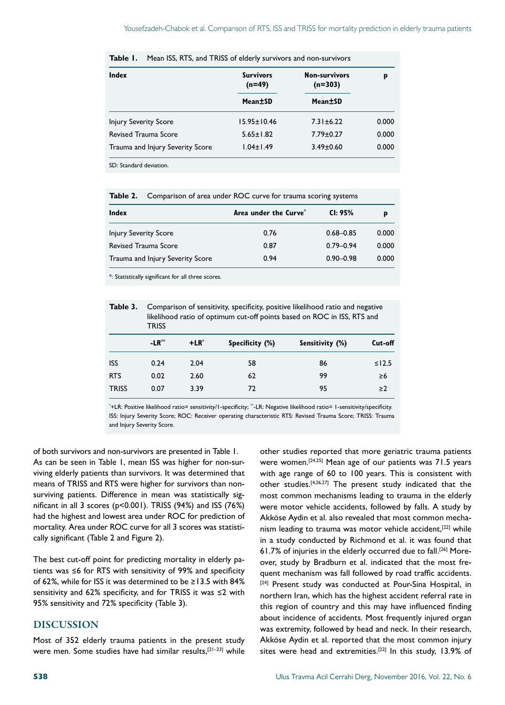| Index                            | <b>Survivors</b><br>$(n=49)$ | <b>Non-survivors</b><br>$(n=303)$ | p     |
|----------------------------------|------------------------------|-----------------------------------|-------|
|                                  | Mean±SD                      | Mean±SD                           |       |
| <b>Injury Severity Score</b>     | 15.95±10.46                  | $7.31 \pm 6.22$                   | 0.000 |
| <b>Revised Trauma Score</b>      | $5.65 \pm 1.82$              | $7.79 \pm 0.27$                   | 0.000 |
| Trauma and Injury Severity Score | $1.04 \pm 1.49$              | $3.49 \pm 0.60$                   | 0.000 |

**Table 1.** Mean ISS, RTS, and TRISS of elderly survivors and non-survivors

SD: Standard deviation.

**Table 2.** Comparison of area under ROC curve for trauma scoring systems

| Index                            | Area under the Curve <sup>*</sup> | CI: 95%       | p     |
|----------------------------------|-----------------------------------|---------------|-------|
| <b>Injury Severity Score</b>     | 0.76                              | $0.68 - 0.85$ | 0.000 |
| Revised Trauma Score             | 0.87                              | $0.79 - 0.94$ | 0.000 |
| Trauma and Injury Severity Score | 0.94                              | $0.90 - 0.98$ | 0.000 |

\*: Statistically significant for all three scores.

Table 3. Comparison of sensitivity, specificity, positive likelihood ratio and negative likelihood ratio of optimum cut-off points based on ROC in ISS, RTS and **TRISS** 

|              | $-LR^*$ | $+LR^*$ | Specificity (%) | Sensitivity (%) | Cut-off     |
|--------------|---------|---------|-----------------|-----------------|-------------|
| <b>ISS</b>   | 0.24    | 2.04    | 58              | 86              | $\leq$ 12.5 |
| <b>RTS</b>   | 0.02    | 2.60    | 62              | 99              | ≥6          |
| <b>TRISS</b> | 0.07    | 3.39    | 72              | 95              | $\geq$ 2    |

\* +LR: Positive likelihood ratio= sensitivity/1-specificity; \*\*-LR: Negative likelihood ratio= 1-sensitivity/specificity. ISS: Injury Severity Score; ROC: Receiver operating characteristic RTS: Revised Trauma Score; TRISS: Trauma and Injury Severity Score.

of both survivors and non-survivors are presented in Table 1. As can be seen in Table 1, mean ISS was higher for non-surviving elderly patients than survivors. It was determined that means of TRISS and RTS were higher for survivors than nonsurviving patients. Difference in mean was statistically significant in all 3 scores (p<0.001). TRISS (94%) and ISS (76%) had the highest and lowest area under ROC for prediction of mortality. Area under ROC curve for all 3 scores was statistically significant (Table 2 and Figure 2).

The best cut-off point for predicting mortality in elderly patients was ≤6 for RTS with sensitivity of 99% and specificity of 62%, while for ISS it was determined to be ≥13.5 with 84% sensitivity and 62% specificity, and for TRISS it was ≤2 with 95% sensitivity and 72% specificity (Table 3).

#### DISCUSSION

Most of 352 elderly trauma patients in the present study were men. Some studies have had similar results,[21–23] while

other studies reported that more geriatric trauma patients were women.[24,25] Mean age of our patients was 71.5 years with age range of 60 to 100 years. This is consistent with other studies.[4,26,27] The present study indicated that the most common mechanisms leading to trauma in the elderly were motor vehicle accidents, followed by falls. A study by Akköse Aydin et al. also revealed that most common mechanism leading to trauma was motor vehicle accident,<sup>[22]</sup> while in a study conducted by Richmond et al. it was found that 61.7% of injuries in the elderly occurred due to fall.[26] Moreover, study by Bradburn et al. indicated that the most frequent mechanism was fall followed by road traffic accidents. [24] Present study was conducted at Pour-Sina Hospital, in northern Iran, which has the highest accident referral rate in this region of country and this may have influenced finding about incidence of accidents. Most frequently injured organ was extremity, followed by head and neck. In their research, Akköse Aydin et al. reported that the most common injury sites were head and extremities.<sup>[22]</sup> In this study, 13.9% of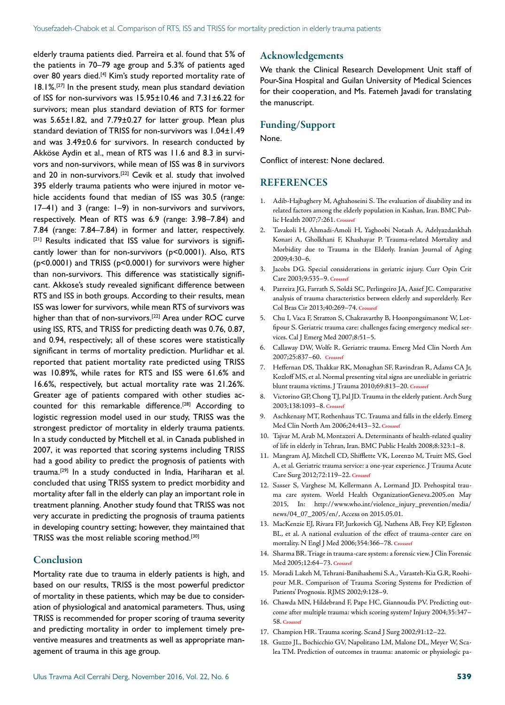elderly trauma patients died. Parreira et al. found that 5% of the patients in 70–79 age group and 5.3% of patients aged over 80 years died.<sup>[4]</sup> Kim's study reported mortality rate of 18.1%.[27] In the present study, mean plus standard deviation of ISS for non-survivors was 15.95±10.46 and 7.31±6.22 for survivors; mean plus standard deviation of RTS for former was 5.65±1.82, and 7.79±0.27 for latter group. Mean plus standard deviation of TRISS for non-survivors was 1.04±1.49 and was 3.49±0.6 for survivors. In research conducted by Akköse Aydin et al., mean of RTS was 11.6 and 8.3 in survivors and non-survivors, while mean of ISS was 8 in survivors and 20 in non-survivors.<sup>[22]</sup> Cevik et al. study that involved 395 elderly trauma patients who were injured in motor vehicle accidents found that median of ISS was 30.5 (range: 17–41) and 3 (range: 1–9) in non-survivors and survivors, respectively. Mean of RTS was 6.9 (range: 3.98–7.84) and 7.84 (range: 7.84–7.84) in former and latter, respectively. [21] Results indicated that ISS value for survivors is significantly lower than for non-survivors (p<0.0001). Also, RTS (p<0.0001) and TRISS (p<0.0001) for survivors were higher than non-survivors. This difference was statistically significant. Akkose's study revealed significant difference between RTS and ISS in both groups. According to their results, mean ISS was lower for survivors, while mean RTS of survivors was higher than that of non-survivors.[22] Area under ROC curve using ISS, RTS, and TRISS for predicting death was 0.76, 0.87, and 0.94, respectively; all of these scores were statistically significant in terms of mortality prediction. Murlidhar et al. reported that patient mortality rate predicted using TRISS was 10.89%, while rates for RTS and ISS were 61.6% and 16.6%, respectively, but actual mortality rate was 21.26%. Greater age of patients compared with other studies accounted for this remarkable difference.<sup>[28]</sup> According to logistic regression model used in our study, TRISS was the strongest predictor of mortality in elderly trauma patients. In a study conducted by Mitchell et al. in Canada published in 2007, it was reported that scoring systems including TRISS had a good ability to predict the prognosis of patients with trauma.[29] In a study conducted in India, Hariharan et al. concluded that using TRISS system to predict morbidity and mortality after fall in the elderly can play an important role in treatment planning. Another study found that TRISS was not very accurate in predicting the prognosis of trauma patients in developing country setting; however, they maintained that TRISS was the most reliable scoring method.<sup>[30]</sup>

### Conclusion

Mortality rate due to trauma in elderly patients is high, and based on our results, TRISS is the most powerful predictor of mortality in these patients, which may be due to consideration of physiological and anatomical parameters. Thus, using TRISS is recommended for proper scoring of trauma severity and predicting mortality in order to implement timely preventive measures and treatments as well as appropriate management of trauma in this age group.

#### Acknowledgements

We thank the Clinical Research Development Unit staff of Pour-Sina Hospital and Guilan University of Medical Sciences for their cooperation, and Ms. Fatemeh Javadi for translating the manuscript.

### Funding/Support

None.

Conflict of interest: None declared.

#### REFERENCES

- 1. Adib-Hajbaghery M, Aghahoseini S. The evaluation of disability and its related factors among the elderly population in Kashan, Iran. BMC Public Health 2007;7:261. **[Crossref](https://doi.org/10.1186/1471-2458-7-261)**
- 2. Tavakoli H, Ahmadi-Amoli H, Yaghoobi Notash A, Adelyazdankhah Konari A, Gholkhani F, Khashayar P. Trauma-related Mortality and Morbidity due to Trauma in the Elderly. Iranian Journal of Aging 2009;4:30–6.
- 3. Jacobs DG. Special considerations in geriatric injury. Curr Opin Crit Care 2003;9:535–9. **[Crossref](https://doi.org/10.1097/00075198-200312000-00012)**
- 4. Parreira JG, Farrath S, Soldá SC, Perlingeiro JA, Assef JC. Comparative analysis of trauma characteristics between elderly and superelderly. Rev Col Bras Cir 2013;40:269–74. **[Crossref](https://doi.org/10.1590/S0100-69912013000400003)**
- 5. Chu I, Vaca F, Stratton S, Chakravarthy B, Hoonpongsimanont W, Lotfipour S. Geriatric trauma care: challenges facing emergency medical services. Cal J Emerg Med 2007;8:51–5.
- 6. Callaway DW, Wolfe R. Geriatric trauma. Emerg Med Clin North Am 2007;25:837–60. **[Crossref](https://doi.org/10.1016/j.emc.2007.06.005)**
- 7. Heffernan DS, Thakkar RK, Monaghan SF, Ravindran R, Adams CA Jr, Kozloff MS, et al. Normal presenting vital signs are unreliable in geriatric blunt trauma victims. J Trauma 2010;69:813–20. **[Crossref](https://doi.org/10.1097/TA.0b013e3181f41af8)**
- 8. Victorino GP, Chong TJ, Pal JD. Trauma in the elderly patient. Arch Surg 2003;138:1093–8. **[Crossref](https://doi.org/10.1001/archsurg.138.10.1093)**
- 9. Aschkenasy MT, Rothenhaus TC. Trauma and falls in the elderly. Emerg Med Clin North Am 2006;24:413–32. **[Crossref](https://doi.org/10.1016/j.emc.2006.01.005)**
- 10. Tajvar M, Arab M, Montazeri A. Determinants of health-related quality of life in elderly in Tehran, Iran. [BMC Public Health 2008;8:323:1–8.](https://doi.org/10.1186/1471-2458-8-323)
- 11. Mangram AJ, Mitchell CD, Shifflette VK, Lorenzo M, Truitt MS, Goel A, et al. Geriatric trauma service: a one-year experience. J Trauma Acute Care Surg 2012;72:119–22. **[Crossref](https://doi.org/10.1097/TA.0b013e318241f0ba)**
- 12. Sasser S, Varghese M, Kellermann A, Lormand JD. Prehospital trauma care system. World Health OrganizationGeneva.2005.on May 2015, In: http://www.who.int/violence\_injury\_prevention/media/ news/04\_07\_2005/en/, Access on 2015.05.01.
- 13. MacKenzie EJ, Rivara FP, Jurkovich GJ, Nathens AB, Frey KP, Egleston BL, et al. A national evaluation of the effect of trauma-center care on mortality. N Engl J Med 2006;354:366–78. **[Crossref](https://doi.org/10.1056/NEJMsa052049)**
- 14. Sharma BR. Triage in trauma-care system: a forensic view. J Clin Forensic Med 2005;12:64–73. **[Crossref](https://doi.org/10.1016/j.jcfm.2005.01.006)**
- 15. Moradi Lakeh M, Tehrani-Banihashemi S.A., Varasteh-Kia G.R, Roohipour M.R. Comparison of Trauma Scoring Systems for Prediction of Patients' Prognosis. RJMS 2002;9:128–9.
- 16. Chawda MN, Hildebrand F, Pape HC, Giannoudis PV. Predicting outcome after multiple trauma: which scoring system? Injury 2004;35:347– 58. **[Crossref](https://doi.org/10.1016/S0020-1383(03)00140-2)**
- 17. Champion HR. Trauma scoring. Scand J Surg 2002;91:12–22.
- 18. Guzzo JL, Bochicchio GV, Napolitano LM, Malone DL, Meyer W, Scalea TM. Prediction of outcomes in trauma: anatomic or physiologic pa-